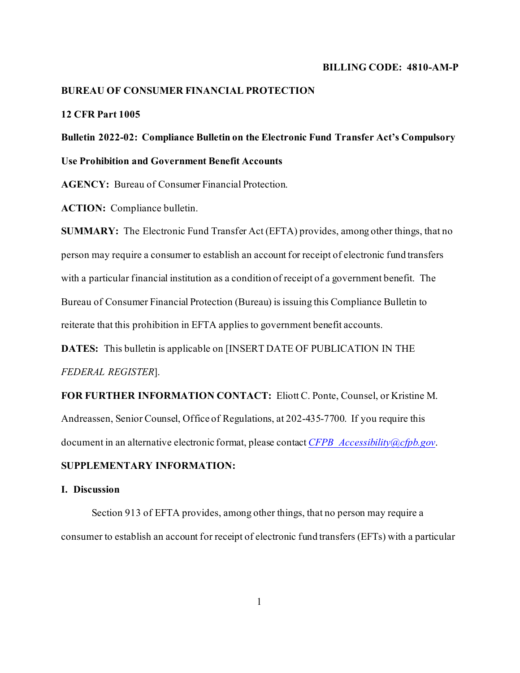#### **BILLING CODE: 4810-AM-P**

## **BUREAU OF CONSUMER FINANCIAL PROTECTION**

# **12 CFR Part 1005**

# **Bulletin 2022-02: Compliance Bulletin on the Electronic Fund Transfer Act's Compulsory Use Prohibition and Government Benefit Accounts**

**AGENCY:** Bureau of Consumer Financial Protection.

**ACTION:** Compliance bulletin.

**SUMMARY:** The Electronic Fund Transfer Act (EFTA) provides, among other things, that no person may require a consumer to establish an account for receipt of electronic fund transfers with a particular financial institution as a condition of receipt of a government benefit. The Bureau of Consumer Financial Protection (Bureau) is issuing this Compliance Bulletin to reiterate that this prohibition in EFTA applies to government benefit accounts.

**DATES:** This bulletin is applicable on [INSERT DATE OF PUBLICATION IN THE *FEDERAL REGISTER*].

**FOR FURTHER INFORMATION CONTACT:** Eliott C. Ponte, Counsel, or Kristine M. Andreassen, Senior Counsel, Office of Regulations, at 202-435-7700. If you require this document in an alternative electronic format, please contact *[CFPB\\_Accessibility@cfpb.gov](mailto:CFPB_Accessibility@cfpb.gov)*.

## **SUPPLEMENTARY INFORMATION:**

#### **I. Discussion**

Section 913 of EFTA provides, among other things, that no person may require a consumer to establish an account for receipt of electronic fund transfers (EFTs) with a particular

1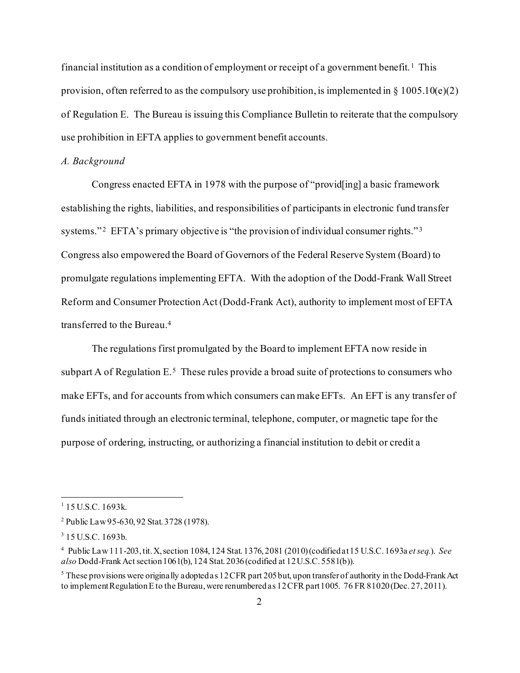financial institution as a condition of employment or receipt of a government benefit.<sup>[1](#page-1-0)</sup> This provision, often referred to as the compulsory use prohibition, is implemented in  $\S 1005.10(e)(2)$ of Regulation E. The Bureau is issuing this Compliance Bulletin to reiterate that the compulsory use prohibition in EFTA applies to government benefit accounts.

#### *A. Background*

Congress enacted EFTA in 1978 with the purpose of "provid[ing] a basic framework establishing the rights, liabilities, and responsibilities of participants in electronic fund transfer systems."<sup>2</sup> EFTA's primary objective is "the provision of individual consumer rights."<sup>3</sup> Congress also empowered the Board of Governors of the Federal Reserve System (Board) to promulgate regulations implementing EFTA. With the adoption of the Dodd-Frank Wall Street Reform and Consumer Protection Act (Dodd-Frank Act), authority to implement most of EFTA transferred to the Bureau.[4](#page-1-3)

The regulations first promulgated by the Board to implement EFTA now reside in subpart A of Regulation  $E^5$  $E^5$ . These rules provide a broad suite of protections to consumers who make EFTs, and for accounts from which consumers can make EFTs. An EFT is any transfer of funds initiated through an electronic terminal, telephone, computer, or magnetic tape for the purpose of ordering, instructing, or authorizing a financial institution to debit or credit a

<span id="page-1-0"></span> $1$  15 U.S.C. 1693k.

<span id="page-1-1"></span><sup>2</sup> Public Law 95-630, 92 Stat. 3728 (1978).

<span id="page-1-2"></span><sup>3</sup> 15 U.S.C. 1693b.

<span id="page-1-3"></span><sup>4</sup> Public Law 111-203, tit. X, section 1084, 124 Stat. 1376, 2081 (2010) (codified at 15 U.S.C. 1693a *et seq.*). *See also* Dodd-Frank Act section 1061(b), 124 Stat. 2036(codified at 12U.S.C. 5581(b)).

<span id="page-1-4"></span><sup>&</sup>lt;sup>5</sup> These provisions were originally adopted as 12 CFR part 205 but, upon transfer of authority in the Dodd-Frank Act to implement Regulation E to the Bureau, were renumbered as 12 CFR part 1005. 76 FR 81020 (Dec. 27, 2011).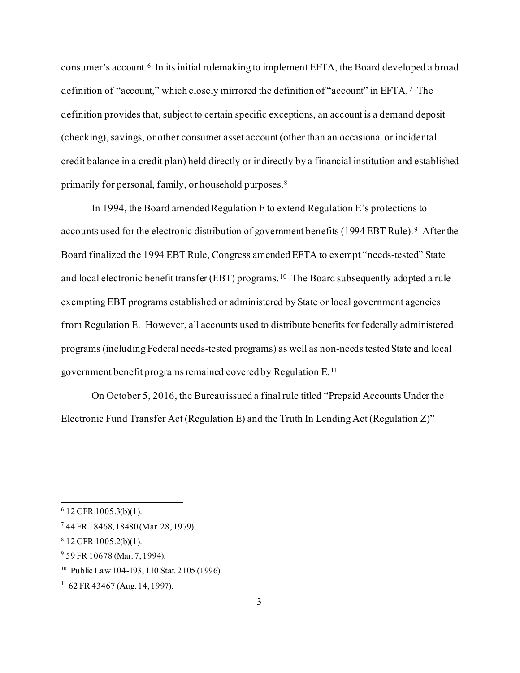consumer's account.[6](#page-2-0) In its initial rulemaking to implement EFTA, the Board developed a broad definition of "account," which closely mirrored the definition of "account" in EFTA.<sup>7</sup> The definition provides that, subject to certain specific exceptions, an account is a demand deposit (checking), savings, or other consumer asset account (other than an occasional or incidental credit balance in a credit plan) held directly or indirectly by a financial institution and established primarily for personal, family, or household purposes[.8](#page-2-2)

In 1994, the Board amended Regulation E to extend Regulation E's protections to accounts used for the electronic distribution of government benefits (1[9](#page-2-3)94 EBT Rule).<sup>9</sup> After the Board finalized the 1994 EBT Rule, Congress amended EFTA to exempt "needs-tested" State and local electronic benefit transfer (EBT) programs.<sup>10</sup> The Board subsequently adopted a rule exempting EBT programs established or administered by State or local government agencies from Regulation E. However, all accounts used to distribute benefits for federally administered programs (including Federal needs-tested programs) as well as non-needs tested State and local government benefit programs remained covered by Regulation E.[11](#page-2-5)

On October 5, 2016, the Bureau issued a final rule titled "Prepaid Accounts Under the Electronic Fund Transfer Act (Regulation E) and the Truth In Lending Act (Regulation Z)"

<span id="page-2-0"></span> $6$  12 CFR 1005.3(b)(1).

<span id="page-2-1"></span><sup>7</sup> 44 FR 18468, 18480 (Mar. 28, 1979).

<span id="page-2-2"></span> $8$  12 CFR 1005.2(b)(1).

<span id="page-2-3"></span><sup>9</sup> 59 FR 10678 (Mar. 7, 1994).

<span id="page-2-4"></span><sup>&</sup>lt;sup>10</sup> Public Law 104-193, 110 Stat. 2105 (1996).

<span id="page-2-5"></span><sup>11</sup> 62 FR 43467 (Aug. 14, 1997).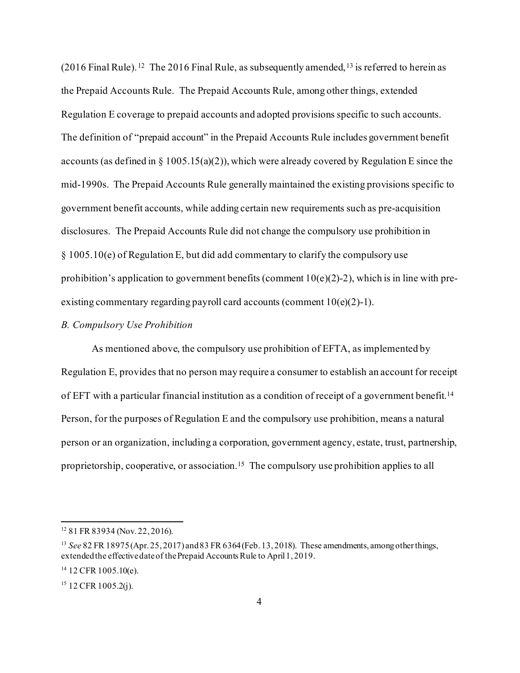$(2016$  Final Rule). <sup>[12](#page-3-0)</sup> The 2016 Final Rule, as subsequently amended, <sup>[13](#page-3-1)</sup> is referred to herein as the Prepaid Accounts Rule. The Prepaid Accounts Rule, among other things, extended Regulation E coverage to prepaid accounts and adopted provisions specific to such accounts. The definition of "prepaid account" in the Prepaid Accounts Rule includes government benefit accounts (as defined in  $\S 1005.15(a)(2)$ ), which were already covered by Regulation E since the mid-1990s. The Prepaid Accounts Rule generally maintained the existing provisions specific to government benefit accounts, while adding certain new requirements such as pre-acquisition disclosures. The Prepaid Accounts Rule did not change the compulsory use prohibition in § 1005.10(e) of Regulation E, but did add commentary to clarify the compulsory use prohibition's application to government benefits (comment 10(e)(2)-2), which is in line with preexisting commentary regarding payroll card accounts (comment  $10(e)(2)$ -1).

## *B. Compulsory Use Prohibition*

As mentioned above, the compulsory use prohibition of EFTA, as implemented by Regulation E, provides that no person may require a consumer to establish an account for receipt of EFT with a particular financial institution as a condition of receipt of a government benefit[.14](#page-3-2) Person, for the purposes of Regulation E and the compulsory use prohibition, means a natural person or an organization, including a corporation, government agency, estate, trust, partnership, proprietorship, cooperative, or association.[15](#page-3-3) The compulsory use prohibition applies to all

<span id="page-3-0"></span><sup>12</sup> 81 FR 83934 (Nov. 22, 2016).

<span id="page-3-1"></span><sup>13</sup> *See* 82 FR 18975 (Apr. 25, 2017) and 83 FR 6364 (Feb. 13, 2018). These amendments, among other things, extended the effective date of the Prepaid Accounts Rule to April 1, 2019.

<span id="page-3-2"></span> $14$  12 CFR 1005.10(e).

<span id="page-3-3"></span><sup>&</sup>lt;sup>15</sup> 12 CFR 1005.2(j).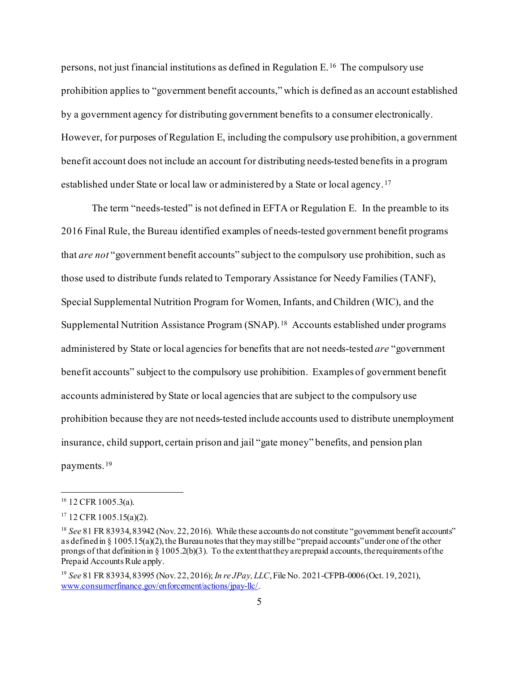persons, not just financial institutions as defined in Regulation E. [16](#page-4-0) The compulsory use prohibition applies to "government benefit accounts," which is defined as an account established by a government agency for distributing government benefits to a consumer electronically. However, for purposes of Regulation E, including the compulsory use prohibition, a government benefit account does not include an account for distributing needs-tested benefits in a program established under State or local law or administered by a State or local agency.[17](#page-4-1)

The term "needs-tested" is not defined in EFTA or Regulation E. In the preamble to its 2016 Final Rule, the Bureau identified examples of needs-tested government benefit programs that *are not* "government benefit accounts" subject to the compulsory use prohibition, such as those used to distribute funds related to Temporary Assistance for Needy Families (TANF), Special Supplemental Nutrition Program for Women, Infants, and Children (WIC), and the Supplemental Nutrition Assistance Program (SNAP).[18](#page-4-2) Accounts established under programs administered by State or local agencies for benefits that are not needs-tested *are* "government benefit accounts" subject to the compulsory use prohibition. Examples of government benefit accounts administered by State or local agencies that are subject to the compulsory use prohibition because they are not needs-tested include accounts used to distribute unemployment insurance, child support, certain prison and jail "gate money" benefits, and pension plan payments.[19](#page-4-3)

<span id="page-4-0"></span> $16$  12 CFR 1005.3(a).

<span id="page-4-1"></span> $17$  12 CFR 1005.15(a)(2).

<span id="page-4-2"></span><sup>&</sup>lt;sup>18</sup> *See* 81 FR 83934, 83942 (Nov. 22, 2016). While these accounts do not constitute "government benefit accounts" as defined in § 1005.15(a)(2), the Bureau notesthat they may still be "prepaid accounts" under one of the other prongs of that definition in  $\S 1005.2(b)(3)$ . To the extent that they are prepaid accounts, the requirements of the Prepaid Accounts Rule apply.

<span id="page-4-3"></span><sup>19</sup> *See* 81 FR 83934, 83995 (Nov. 22, 2016); *In re JPay, LLC*, File No. 2021-CFPB-0006 (Oct. 19, 2021), [www.consumerfinance.gov/enforcement/actions/jpay-llc/](http://www.consumerfinance.gov/enforcement/actions/jpay-llc/).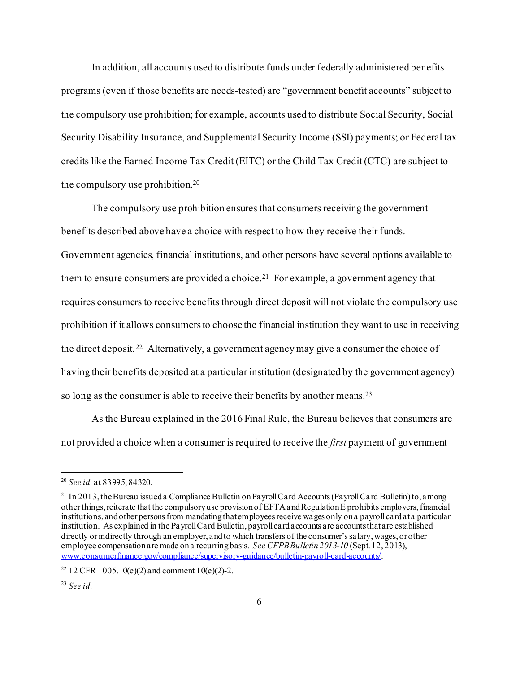In addition, all accounts used to distribute funds under federally administered benefits programs (even if those benefits are needs-tested) are "government benefit accounts" subject to the compulsory use prohibition; for example, accounts used to distribute Social Security, Social Security Disability Insurance, and Supplemental Security Income (SSI) payments; or Federal tax credits like the Earned Income Tax Credit (EITC) or the Child Tax Credit (CTC) are subject to the compulsory use prohibition. [20](#page-5-0)

The compulsory use prohibition ensures that consumers receiving the government benefits described above have a choice with respect to how they receive their funds. Government agencies, financial institutions, and other persons have several options available to them to ensure consumers are provided a choice.<sup>21</sup> For example, a government agency that requires consumers to receive benefits through direct deposit will not violate the compulsory use prohibition if it allows consumers to choose the financial institution they want to use in receiving the direct deposit.[22](#page-5-2) Alternatively, a government agency may give a consumer the choice of having their benefits deposited at a particular institution (designated by the government agency) so long as the consumer is able to receive their benefits by another means.<sup>23</sup>

As the Bureau explained in the 2016 Final Rule, the Bureau believes that consumers are not provided a choice when a consumer is required to receive the *first* payment of government

<span id="page-5-0"></span><sup>20</sup> *See id.* at 83995, 84320.

<span id="page-5-1"></span><sup>&</sup>lt;sup>21</sup> In 2013, the Bureau issued a Compliance Bulletin on Payroll Card Accounts (Payroll Card Bulletin) to, among other things,reiterate that the compulsory use provision of EFTAand RegulationE prohibits employers, financial institutions, andother personsfrom mandating that employees receive wages only on a payroll card at a particular institution. As explained in the PayrollCard Bulletin, payrollcard accounts are accounts that are established directly or indirectly through an employer, and to which transfers of the consumer's salary, wages, or other employee compensation are made on a recurring basis. *See CFPB Bulletin 2013-10* (Sept. 12, 2013), [www.consumerfinance.gov/compliance/supervisory-guidance/bulletin-payroll-card-accounts/.](http://www.consumerfinance.gov/compliance/supervisory-guidance/bulletin-payroll-card-accounts/)

<span id="page-5-2"></span><sup>&</sup>lt;sup>22</sup> 12 CFR 1005.10(e)(2) and comment 10(e)(2)-2.

<span id="page-5-3"></span><sup>23</sup> *See id.*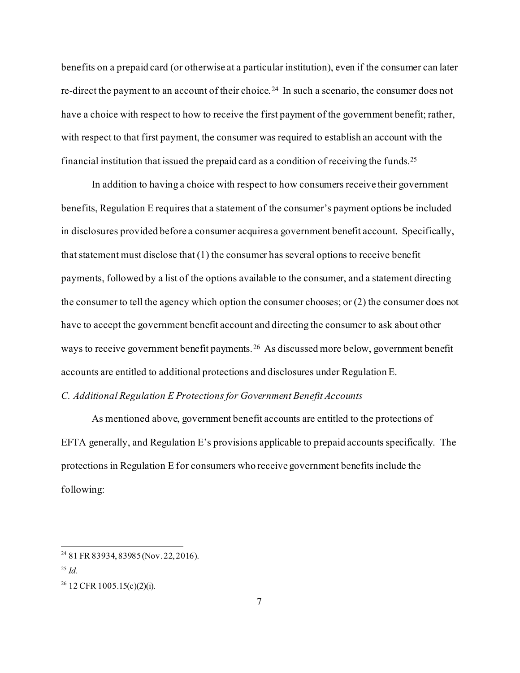benefits on a prepaid card (or otherwise at a particular institution), even if the consumer can later re-direct the payment to an account of their choice. [24](#page-6-0) In such a scenario, the consumer does not have a choice with respect to how to receive the first payment of the government benefit; rather, with respect to that first payment, the consumer was required to establish an account with the financial institution that issued the prepaid card as a condition of receiving the funds[.25](#page-6-1)

In addition to having a choice with respect to how consumers receive their government benefits, Regulation E requires that a statement of the consumer's payment options be included in disclosures provided before a consumer acquires a government benefit account. Specifically, that statement must disclose that (1) the consumer has several options to receive benefit payments, followed by a list of the options available to the consumer, and a statement directing the consumer to tell the agency which option the consumer chooses; or (2) the consumer does not have to accept the government benefit account and directing the consumer to ask about other ways to receive government benefit payments. [26](#page-6-2) As discussed more below, government benefit accounts are entitled to additional protections and disclosures under Regulation E.

### *C. Additional Regulation E Protections for Government Benefit Accounts*

As mentioned above, government benefit accounts are entitled to the protections of EFTA generally, and Regulation E's provisions applicable to prepaid accounts specifically. The protections in Regulation E for consumers who receive government benefits include the following:

<span id="page-6-0"></span><sup>24</sup> 81 FR 83934, 83985 (Nov. 22, 2016).

<span id="page-6-1"></span><sup>25</sup> *Id.*

<span id="page-6-2"></span> $26$  12 CFR 1005.15(c)(2)(i).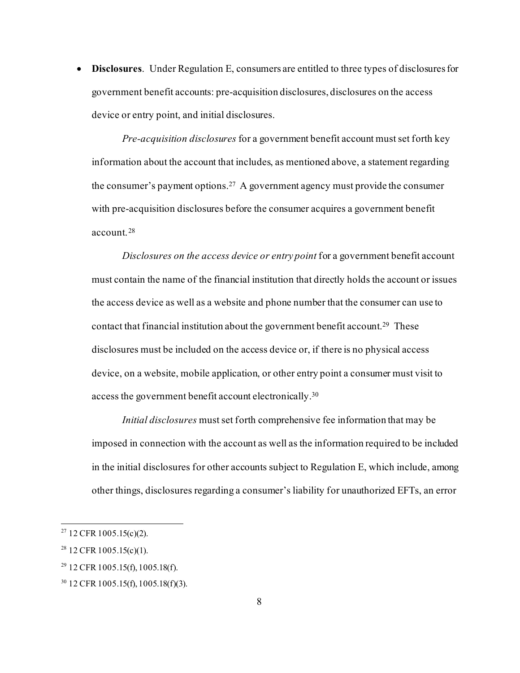• **Disclosures**. Under Regulation E, consumers are entitled to three types of disclosures for government benefit accounts: pre-acquisition disclosures, disclosures on the access device or entry point, and initial disclosures.

*Pre-acquisition disclosures* for a government benefit account must set forth key information about the account that includes, as mentioned above, a statement regarding the consumer's payment options. [27](#page-7-0) A government agency must provide the consumer with pre-acquisition disclosures before the consumer acquires a government benefit account.[28](#page-7-1)

*Disclosures on the access device or entry point* for a government benefit account must contain the name of the financial institution that directly holds the account or issues the access device as well as a website and phone number that the consumer can use to contact that financial institution about the government benefit account[.29](#page-7-2) These disclosures must be included on the access device or, if there is no physical access device, on a website, mobile application, or other entry point a consumer must visit to access the government benefit account electronically[.30](#page-7-3)

*Initial disclosures* must set forth comprehensive fee information that may be imposed in connection with the account as well as the information required to be included in the initial disclosures for other accounts subject to Regulation E, which include, among other things, disclosures regarding a consumer's liability for unauthorized EFTs, an error

<span id="page-7-0"></span> $27$  12 CFR 1005.15(c)(2).

<span id="page-7-1"></span> $28$  12 CFR 1005.15(c)(1).

<span id="page-7-2"></span> $29$  12 CFR 1005.15(f), 1005.18(f).

<span id="page-7-3"></span><sup>30</sup> 12 CFR 1005.15(f), 1005.18(f)(3).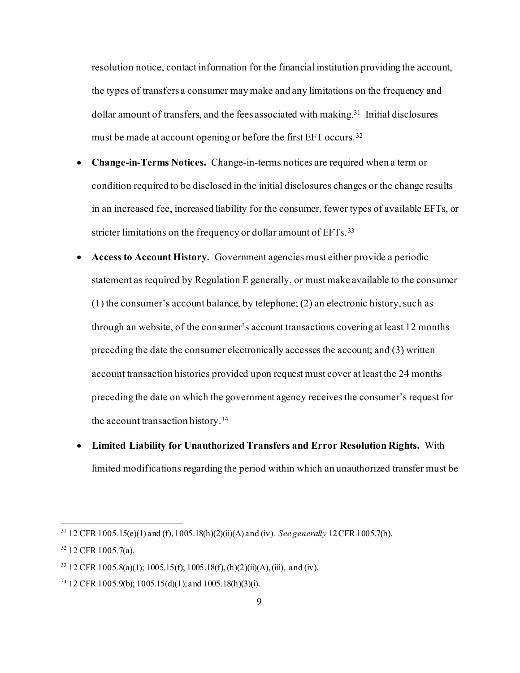resolution notice, contact information for the financial institution providing the account, the types of transfers a consumer may make and any limitations on the frequency and dollar amount of transfers, and the fees associated with making.<sup>31</sup> Initial disclosures must be made at account opening or before the first EFT occurs.<sup>[32](#page-8-1)</sup>

- **Change-in-Terms Notices.** Change-in-terms notices are required when a term or condition required to be disclosed in the initial disclosures changes or the change results in an increased fee, increased liability for the consumer, fewer types of available EFTs, or stricter limitations on the frequency or dollar amount of EFTs.<sup>33</sup>
- **Access to Account History.** Government agencies must either provide a periodic statement as required by Regulation E generally, or must make available to the consumer (1) the consumer's account balance, by telephone; (2) an electronic history, such as through an website, of the consumer's account transactions covering at least 12 months preceding the date the consumer electronically accesses the account; and (3) written account transaction histories provided upon request must cover at least the 24 months preceding the date on which the government agency receives the consumer's request for the account transaction history.[34](#page-8-3)
- **Limited Liability for Unauthorized Transfers and Error Resolution Rights.** With limited modifications regarding the period within which an unauthorized transfer must be

<span id="page-8-0"></span><sup>31</sup> 12 CFR 1005.15(e)(1) and (f), 1005.18(h)(2)(ii)(A) and (iv). *See generally* 12CFR 1005.7(b).

<span id="page-8-1"></span> $32$  12 CFR 1005.7(a).

<span id="page-8-2"></span><sup>&</sup>lt;sup>33</sup> 12 CFR 1005.8(a)(1); 1005.15(f); 1005.18(f), (h)(2)(ii)(A), (iii), and (iv).

<span id="page-8-3"></span> $34$  12 CFR 1005.9(b); 1005.15(d)(1); and 1005.18(h)(3)(i).